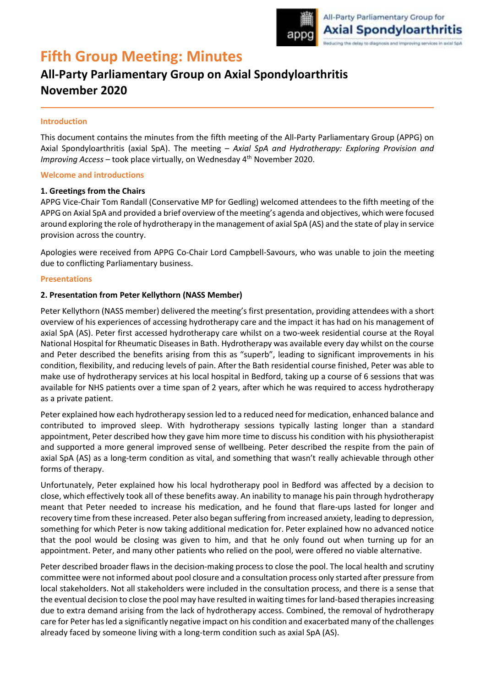

# **Fifth Group Meeting: Minutes**

## **All-Party Parliamentary Group on Axial Spondyloarthritis November 2020**

#### **Introduction**

This document contains the minutes from the fifth meeting of the All-Party Parliamentary Group (APPG) on Axial Spondyloarthritis (axial SpA). The meeting – *Axial SpA and Hydrotherapy: Exploring Provision and Improving Access* – took place virtually, on Wednesday 4<sup>th</sup> November 2020.

#### **Welcome and introductions**

#### **1. Greetings from the Chairs**

APPG Vice-Chair Tom Randall (Conservative MP for Gedling) welcomed attendees to the fifth meeting of the APPG on Axial SpA and provided a brief overview of the meeting's agenda and objectives, which were focused around exploring the role of hydrotherapy in the management of axial SpA (AS) and the state of play in service provision across the country.

Apologies were received from APPG Co-Chair Lord Campbell-Savours, who was unable to join the meeting due to conflicting Parliamentary business.

#### **Presentations**

#### **2. Presentation from Peter Kellythorn (NASS Member)**

Peter Kellythorn (NASS member) delivered the meeting's first presentation, providing attendees with a short overview of his experiences of accessing hydrotherapy care and the impact it has had on his management of axial SpA (AS). Peter first accessed hydrotherapy care whilst on a two-week residential course at the Royal National Hospital for Rheumatic Diseases in Bath. Hydrotherapy was available every day whilst on the course and Peter described the benefits arising from this as "superb", leading to significant improvements in his condition, flexibility, and reducing levels of pain. After the Bath residential course finished, Peter was able to make use of hydrotherapy services at his local hospital in Bedford, taking up a course of 6 sessions that was available for NHS patients over a time span of 2 years, after which he was required to access hydrotherapy as a private patient.

Peter explained how each hydrotherapy session led to a reduced need for medication, enhanced balance and contributed to improved sleep. With hydrotherapy sessions typically lasting longer than a standard appointment, Peter described how they gave him more time to discuss his condition with his physiotherapist and supported a more general improved sense of wellbeing. Peter described the respite from the pain of axial SpA (AS) as a long-term condition as vital, and something that wasn't really achievable through other forms of therapy.

Unfortunately, Peter explained how his local hydrotherapy pool in Bedford was affected by a decision to close, which effectively took all of these benefits away. An inability to manage his pain through hydrotherapy meant that Peter needed to increase his medication, and he found that flare-ups lasted for longer and recovery time from these increased. Peter also began suffering from increased anxiety, leading to depression, something for which Peter is now taking additional medication for. Peter explained how no advanced notice that the pool would be closing was given to him, and that he only found out when turning up for an appointment. Peter, and many other patients who relied on the pool, were offered no viable alternative.

Peter described broader flaws in the decision-making process to close the pool. The local health and scrutiny committee were not informed about pool closure and a consultation process only started after pressure from local stakeholders. Not all stakeholders were included in the consultation process, and there is a sense that the eventual decision to close the pool may have resulted in waiting times for land-based therapies increasing due to extra demand arising from the lack of hydrotherapy access. Combined, the removal of hydrotherapy care for Peter has led a significantly negative impact on his condition and exacerbated many of the challenges already faced by someone living with a long-term condition such as axial SpA (AS).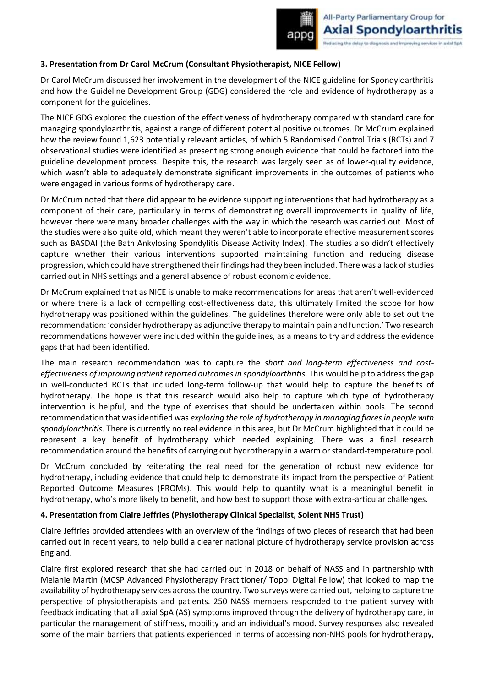### **3. Presentation from Dr Carol McCrum (Consultant Physiotherapist, NICE Fellow)**

Dr Carol McCrum discussed her involvement in the development of the NICE guideline for Spondyloarthritis and how the Guideline Development Group (GDG) considered the role and evidence of hydrotherapy as a component for the guidelines.

The NICE GDG explored the question of the effectiveness of hydrotherapy compared with standard care for managing spondyloarthritis, against a range of different potential positive outcomes. Dr McCrum explained how the review found 1,623 potentially relevant articles, of which 5 Randomised Control Trials (RCTs) and 7 observational studies were identified as presenting strong enough evidence that could be factored into the guideline development process. Despite this, the research was largely seen as of lower-quality evidence, which wasn't able to adequately demonstrate significant improvements in the outcomes of patients who were engaged in various forms of hydrotherapy care.

Dr McCrum noted that there did appear to be evidence supporting interventions that had hydrotherapy as a component of their care, particularly in terms of demonstrating overall improvements in quality of life, however there were many broader challenges with the way in which the research was carried out. Most of the studies were also quite old, which meant they weren't able to incorporate effective measurement scores such as BASDAI (the Bath Ankylosing Spondylitis Disease Activity Index). The studies also didn't effectively capture whether their various interventions supported maintaining function and reducing disease progression, which could have strengthened their findings had they been included. There was a lack of studies carried out in NHS settings and a general absence of robust economic evidence.

Dr McCrum explained that as NICE is unable to make recommendations for areas that aren't well-evidenced or where there is a lack of compelling cost-effectiveness data, this ultimately limited the scope for how hydrotherapy was positioned within the guidelines. The guidelines therefore were only able to set out the recommendation: 'consider hydrotherapy as adjunctive therapy to maintain pain and function.' Two research recommendations however were included within the guidelines, as a means to try and address the evidence gaps that had been identified.

The main research recommendation was to capture the *short and long-term effectiveness and costeffectiveness of improving patient reported outcomes in spondyloarthritis*. This would help to address the gap in well-conducted RCTs that included long-term follow-up that would help to capture the benefits of hydrotherapy. The hope is that this research would also help to capture which type of hydrotherapy intervention is helpful, and the type of exercises that should be undertaken within pools. The second recommendation that was identified was *exploring the role of hydrotherapy in managing flares in people with spondyloarthritis*. There is currently no real evidence in this area, but Dr McCrum highlighted that it could be represent a key benefit of hydrotherapy which needed explaining. There was a final research recommendation around the benefits of carrying out hydrotherapy in a warm or standard-temperature pool.

Dr McCrum concluded by reiterating the real need for the generation of robust new evidence for hydrotherapy, including evidence that could help to demonstrate its impact from the perspective of Patient Reported Outcome Measures (PROMs). This would help to quantify what is a meaningful benefit in hydrotherapy, who's more likely to benefit, and how best to support those with extra-articular challenges.

#### **4. Presentation from Claire Jeffries (Physiotherapy Clinical Specialist, Solent NHS Trust)**

Claire Jeffries provided attendees with an overview of the findings of two pieces of research that had been carried out in recent years, to help build a clearer national picture of hydrotherapy service provision across England.

Claire first explored research that she had carried out in 2018 on behalf of NASS and in partnership with Melanie Martin (MCSP Advanced Physiotherapy Practitioner/ Topol Digital Fellow) that looked to map the availability of hydrotherapy services across the country. Two surveys were carried out, helping to capture the perspective of physiotherapists and patients. 250 NASS members responded to the patient survey with feedback indicating that all axial SpA (AS) symptoms improved through the delivery of hydrotherapy care, in particular the management of stiffness, mobility and an individual's mood. Survey responses also revealed some of the main barriers that patients experienced in terms of accessing non-NHS pools for hydrotherapy,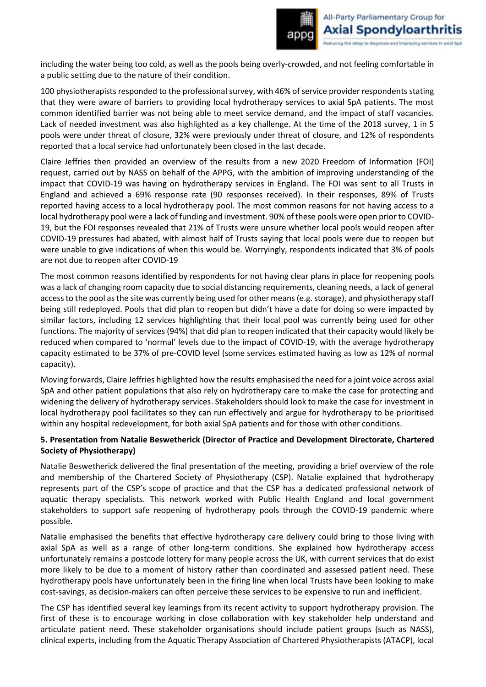including the water being too cold, as well as the pools being overly-crowded, and not feeling comfortable in a public setting due to the nature of their condition.

100 physiotherapists responded to the professional survey, with 46% of service provider respondents stating that they were aware of barriers to providing local hydrotherapy services to axial SpA patients. The most common identified barrier was not being able to meet service demand, and the impact of staff vacancies. Lack of needed investment was also highlighted as a key challenge. At the time of the 2018 survey, 1 in 5 pools were under threat of closure, 32% were previously under threat of closure, and 12% of respondents reported that a local service had unfortunately been closed in the last decade.

Claire Jeffries then provided an overview of the results from a new 2020 Freedom of Information (FOI) request, carried out by NASS on behalf of the APPG, with the ambition of improving understanding of the impact that COVID-19 was having on hydrotherapy services in England. The FOI was sent to all Trusts in England and achieved a 69% response rate (90 responses received). In their responses, 89% of Trusts reported having access to a local hydrotherapy pool. The most common reasons for not having access to a local hydrotherapy pool were a lack of funding and investment. 90% of these pools were open prior to COVID-19, but the FOI responses revealed that 21% of Trusts were unsure whether local pools would reopen after COVID-19 pressures had abated, with almost half of Trusts saying that local pools were due to reopen but were unable to give indications of when this would be. Worryingly, respondents indicated that 3% of pools are not due to reopen after COVID-19

The most common reasons identified by respondents for not having clear plans in place for reopening pools was a lack of changing room capacity due to social distancing requirements, cleaning needs, a lack of general access to the pool as the site was currently being used for other means (e.g. storage), and physiotherapy staff being still redeployed. Pools that did plan to reopen but didn't have a date for doing so were impacted by similar factors, including 12 services highlighting that their local pool was currently being used for other functions. The majority of services (94%) that did plan to reopen indicated that their capacity would likely be reduced when compared to 'normal' levels due to the impact of COVID-19, with the average hydrotherapy capacity estimated to be 37% of pre-COVID level (some services estimated having as low as 12% of normal capacity).

Moving forwards, Claire Jeffries highlighted how the results emphasised the need for a joint voice across axial SpA and other patient populations that also rely on hydrotherapy care to make the case for protecting and widening the delivery of hydrotherapy services. Stakeholders should look to make the case for investment in local hydrotherapy pool facilitates so they can run effectively and argue for hydrotherapy to be prioritised within any hospital redevelopment, for both axial SpA patients and for those with other conditions.

## **5. Presentation from Natalie Beswetherick (Director of Practice and Development Directorate, Chartered Society of Physiotherapy)**

Natalie Beswetherick delivered the final presentation of the meeting, providing a brief overview of the role and membership of the Chartered Society of Physiotherapy (CSP). Natalie explained that hydrotherapy represents part of the CSP's scope of practice and that the CSP has a dedicated professional network of aquatic therapy specialists. This network worked with Public Health England and local government stakeholders to support safe reopening of hydrotherapy pools through the COVID-19 pandemic where possible.

Natalie emphasised the benefits that effective hydrotherapy care delivery could bring to those living with axial SpA as well as a range of other long-term conditions. She explained how hydrotherapy access unfortunately remains a postcode lottery for many people across the UK, with current services that do exist more likely to be due to a moment of history rather than coordinated and assessed patient need. These hydrotherapy pools have unfortunately been in the firing line when local Trusts have been looking to make cost-savings, as decision-makers can often perceive these services to be expensive to run and inefficient.

The CSP has identified several key learnings from its recent activity to support hydrotherapy provision. The first of these is to encourage working in close collaboration with key stakeholder help understand and articulate patient need. These stakeholder organisations should include patient groups (such as NASS), clinical experts, including from the Aquatic Therapy Association of Chartered Physiotherapists (ATACP), local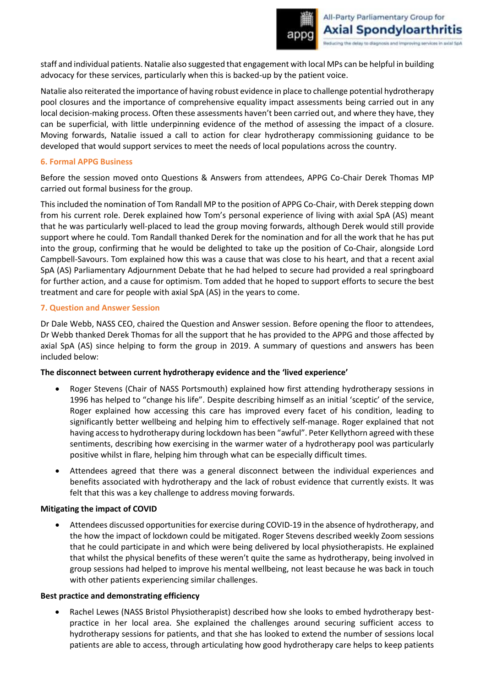staff and individual patients. Natalie also suggested that engagement with local MPs can be helpful in building advocacy for these services, particularly when this is backed-up by the patient voice.

Natalie also reiterated the importance of having robust evidence in place to challenge potential hydrotherapy pool closures and the importance of comprehensive equality impact assessments being carried out in any local decision-making process. Often these assessments haven't been carried out, and where they have, they can be superficial, with little underpinning evidence of the method of assessing the impact of a closure. Moving forwards, Natalie issued a call to action for clear hydrotherapy commissioning guidance to be developed that would support services to meet the needs of local populations across the country.

#### **6. Formal APPG Business**

Before the session moved onto Questions & Answers from attendees, APPG Co-Chair Derek Thomas MP carried out formal business for the group.

This included the nomination of Tom Randall MP to the position of APPG Co-Chair, with Derek stepping down from his current role. Derek explained how Tom's personal experience of living with axial SpA (AS) meant that he was particularly well-placed to lead the group moving forwards, although Derek would still provide support where he could. Tom Randall thanked Derek for the nomination and for all the work that he has put into the group, confirming that he would be delighted to take up the position of Co-Chair, alongside Lord Campbell-Savours. Tom explained how this was a cause that was close to his heart, and that a recent axial SpA (AS) Parliamentary Adjournment Debate that he had helped to secure had provided a real springboard for further action, and a cause for optimism. Tom added that he hoped to support efforts to secure the best treatment and care for people with axial SpA (AS) in the years to come.

#### **7. Question and Answer Session**

Dr Dale Webb, NASS CEO, chaired the Question and Answer session. Before opening the floor to attendees, Dr Webb thanked Derek Thomas for all the support that he has provided to the APPG and those affected by axial SpA (AS) since helping to form the group in 2019. A summary of questions and answers has been included below:

#### **The disconnect between current hydrotherapy evidence and the 'lived experience'**

- Roger Stevens (Chair of NASS Portsmouth) explained how first attending hydrotherapy sessions in 1996 has helped to "change his life". Despite describing himself as an initial 'sceptic' of the service, Roger explained how accessing this care has improved every facet of his condition, leading to significantly better wellbeing and helping him to effectively self-manage. Roger explained that not having access to hydrotherapy during lockdown has been "awful". Peter Kellythorn agreed with these sentiments, describing how exercising in the warmer water of a hydrotherapy pool was particularly positive whilst in flare, helping him through what can be especially difficult times.
- Attendees agreed that there was a general disconnect between the individual experiences and benefits associated with hydrotherapy and the lack of robust evidence that currently exists. It was felt that this was a key challenge to address moving forwards.

#### **Mitigating the impact of COVID**

• Attendees discussed opportunities for exercise during COVID-19 in the absence of hydrotherapy, and the how the impact of lockdown could be mitigated. Roger Stevens described weekly Zoom sessions that he could participate in and which were being delivered by local physiotherapists. He explained that whilst the physical benefits of these weren't quite the same as hydrotherapy, being involved in group sessions had helped to improve his mental wellbeing, not least because he was back in touch with other patients experiencing similar challenges.

#### **Best practice and demonstrating efficiency**

• Rachel Lewes (NASS Bristol Physiotherapist) described how she looks to embed hydrotherapy bestpractice in her local area. She explained the challenges around securing sufficient access to hydrotherapy sessions for patients, and that she has looked to extend the number of sessions local patients are able to access, through articulating how good hydrotherapy care helps to keep patients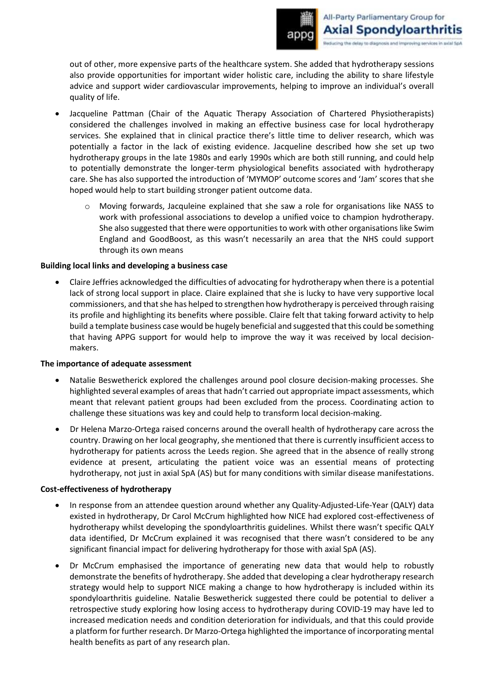out of other, more expensive parts of the healthcare system. She added that hydrotherapy sessions also provide opportunities for important wider holistic care, including the ability to share lifestyle advice and support wider cardiovascular improvements, helping to improve an individual's overall quality of life.

- Jacqueline Pattman (Chair of the Aquatic Therapy Association of Chartered Physiotherapists) considered the challenges involved in making an effective business case for local hydrotherapy services. She explained that in clinical practice there's little time to deliver research, which was potentially a factor in the lack of existing evidence. Jacqueline described how she set up two hydrotherapy groups in the late 1980s and early 1990s which are both still running, and could help to potentially demonstrate the longer-term physiological benefits associated with hydrotherapy care. She has also supported the introduction of 'MYMOP' outcome scores and 'Jam' scores that she hoped would help to start building stronger patient outcome data.
	- o Moving forwards, Jacquleine explained that she saw a role for organisations like NASS to work with professional associations to develop a unified voice to champion hydrotherapy. She also suggested that there were opportunities to work with other organisations like Swim England and GoodBoost, as this wasn't necessarily an area that the NHS could support through its own means

#### **Building local links and developing a business case**

• Claire Jeffries acknowledged the difficulties of advocating for hydrotherapy when there is a potential lack of strong local support in place. Claire explained that she is lucky to have very supportive local commissioners, and that she has helped to strengthen how hydrotherapy is perceived through raising its profile and highlighting its benefits where possible. Claire felt that taking forward activity to help build a template business case would be hugely beneficial and suggested that this could be something that having APPG support for would help to improve the way it was received by local decisionmakers.

#### **The importance of adequate assessment**

- Natalie Beswetherick explored the challenges around pool closure decision-making processes. She highlighted several examples of areas that hadn't carried out appropriate impact assessments, which meant that relevant patient groups had been excluded from the process. Coordinating action to challenge these situations was key and could help to transform local decision-making.
- Dr Helena Marzo-Ortega raised concerns around the overall health of hydrotherapy care across the country. Drawing on her local geography, she mentioned that there is currently insufficient access to hydrotherapy for patients across the Leeds region. She agreed that in the absence of really strong evidence at present, articulating the patient voice was an essential means of protecting hydrotherapy, not just in axial SpA (AS) but for many conditions with similar disease manifestations.

## **Cost-effectiveness of hydrotherapy**

- In response from an attendee question around whether any Quality-Adjusted-Life-Year (QALY) data existed in hydrotherapy, Dr Carol McCrum highlighted how NICE had explored cost-effectiveness of hydrotherapy whilst developing the spondyloarthritis guidelines. Whilst there wasn't specific QALY data identified, Dr McCrum explained it was recognised that there wasn't considered to be any significant financial impact for delivering hydrotherapy for those with axial SpA (AS).
- Dr McCrum emphasised the importance of generating new data that would help to robustly demonstrate the benefits of hydrotherapy. She added that developing a clear hydrotherapy research strategy would help to support NICE making a change to how hydrotherapy is included within its spondyloarthritis guideline. Natalie Beswetherick suggested there could be potential to deliver a retrospective study exploring how losing access to hydrotherapy during COVID-19 may have led to increased medication needs and condition deterioration for individuals, and that this could provide a platform for further research. Dr Marzo-Ortega highlighted the importance of incorporating mental health benefits as part of any research plan.